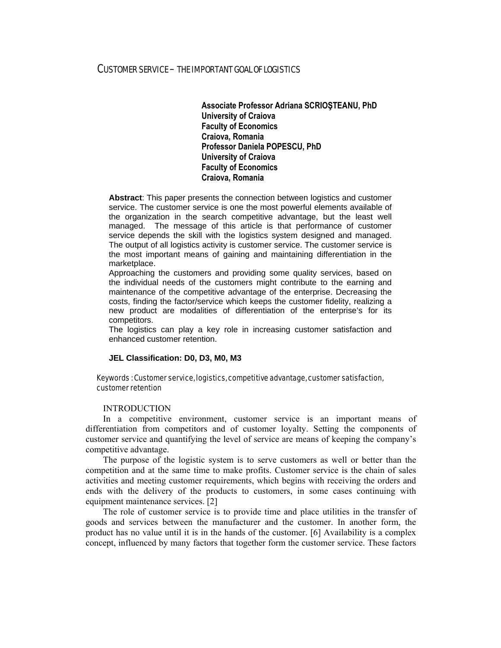### CUSTOMER SERVICE – THE IMPORTANT GOAL OF LOGISTICS

**Associate Professor Adriana SCRIOŞTEANU, PhD University of Craiova Faculty of Economics Craiova, Romania Professor Daniela POPESCU, PhD University of Craiova Faculty of Economics Craiova, Romania** 

**Abstract**: This paper presents the connection between logistics and customer service. The customer service is one the most powerful elements available of the organization in the search competitive advantage, but the least well managed. The message of this article is that performance of customer service depends the skill with the logistics system designed and managed. The output of all logistics activity is customer service. The customer service is the most important means of gaining and maintaining differentiation in the marketplace.

Approaching the customers and providing some quality services, based on the individual needs of the customers might contribute to the earning and maintenance of the competitive advantage of the enterprise. Decreasing the costs, finding the factor/service which keeps the customer fidelity, realizing a new product are modalities of differentiation of the enterprise's for its competitors.

The logistics can play a key role in increasing customer satisfaction and enhanced customer retention.

#### **JEL Classification: D0, D3, M0, M3**

### Keywords : Customer service, logistics, competitive advantage, customer satisfaction, customer retention

#### INTRODUCTION

In a competitive environment, customer service is an important means of differentiation from competitors and of customer loyalty. Setting the components of customer service and quantifying the level of service are means of keeping the company's competitive advantage.

The purpose of the logistic system is to serve customers as well or better than the competition and at the same time to make profits. Customer service is the chain of sales activities and meeting customer requirements, which begins with receiving the orders and ends with the delivery of the products to customers, in some cases continuing with equipment maintenance services. [2]

The role of customer service is to provide time and place utilities in the transfer of goods and services between the manufacturer and the customer. In another form, the product has no value until it is in the hands of the customer. [6] Availability is a complex concept, influenced by many factors that together form the customer service. These factors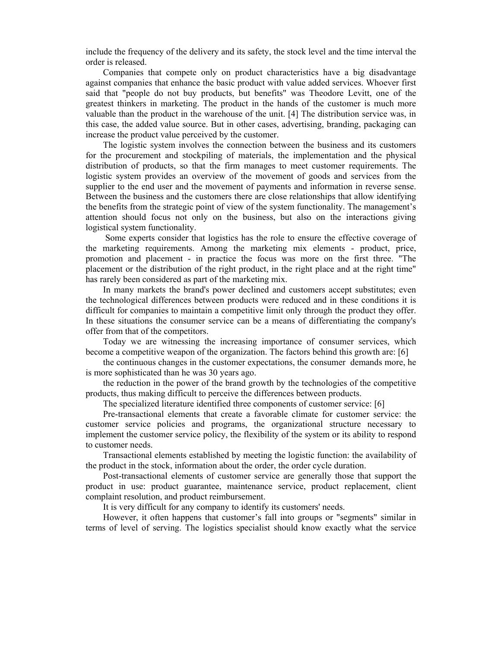include the frequency of the delivery and its safety, the stock level and the time interval the order is released.

Companies that compete only on product characteristics have a big disadvantage against companies that enhance the basic product with value added services. Whoever first said that "people do not buy products, but benefits" was Theodore Levitt, one of the greatest thinkers in marketing. The product in the hands of the customer is much more valuable than the product in the warehouse of the unit. [4] The distribution service was, in this case, the added value source. But in other cases, advertising, branding, packaging can increase the product value perceived by the customer.

The logistic system involves the connection between the business and its customers for the procurement and stockpiling of materials, the implementation and the physical distribution of products, so that the firm manages to meet customer requirements. The logistic system provides an overview of the movement of goods and services from the supplier to the end user and the movement of payments and information in reverse sense. Between the business and the customers there are close relationships that allow identifying the benefits from the strategic point of view of the system functionality. The management's attention should focus not only on the business, but also on the interactions giving logistical system functionality.

 Some experts consider that logistics has the role to ensure the effective coverage of the marketing requirements. Among the marketing mix elements - product, price, promotion and placement - in practice the focus was more on the first three. "The placement or the distribution of the right product, in the right place and at the right time" has rarely been considered as part of the marketing mix.

In many markets the brand's power declined and customers accept substitutes; even the technological differences between products were reduced and in these conditions it is difficult for companies to maintain a competitive limit only through the product they offer. In these situations the consumer service can be a means of differentiating the company's offer from that of the competitors.

Today we are witnessing the increasing importance of consumer services, which become a competitive weapon of the organization. The factors behind this growth are: [6]

the continuous changes in the customer expectations, the consumer demands more, he is more sophisticated than he was 30 years ago.

the reduction in the power of the brand growth by the technologies of the competitive products, thus making difficult to perceive the differences between products.

The specialized literature identified three components of customer service: [6]

Pre-transactional elements that create a favorable climate for customer service: the customer service policies and programs, the organizational structure necessary to implement the customer service policy, the flexibility of the system or its ability to respond to customer needs.

Transactional elements established by meeting the logistic function: the availability of the product in the stock, information about the order, the order cycle duration.

Post-transactional elements of customer service are generally those that support the product in use: product guarantee, maintenance service, product replacement, client complaint resolution, and product reimbursement.

It is very difficult for any company to identify its customers' needs.

However, it often happens that customer's fall into groups or "segments" similar in terms of level of serving. The logistics specialist should know exactly what the service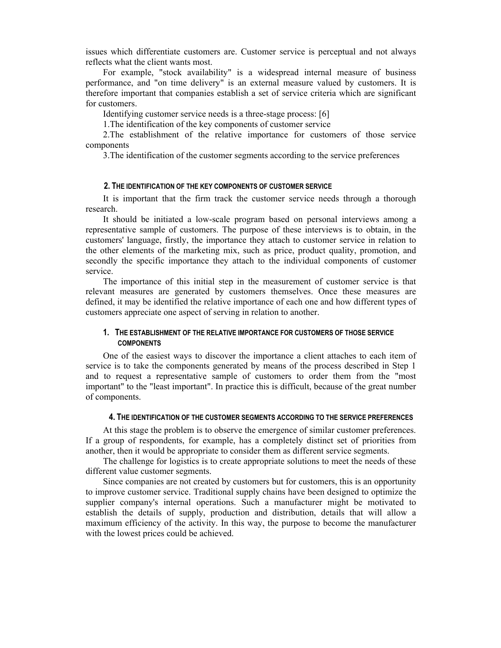issues which differentiate customers are. Customer service is perceptual and not always reflects what the client wants most.

For example, "stock availability" is a widespread internal measure of business performance, and "on time delivery" is an external measure valued by customers. It is therefore important that companies establish a set of service criteria which are significant for customers.

Identifying customer service needs is a three-stage process: [6]

1.The identification of the key components of customer service

2.The establishment of the relative importance for customers of those service components

3.The identification of the customer segments according to the service preferences

#### **2. THE IDENTIFICATION OF THE KEY COMPONENTS OF CUSTOMER SERVICE**

It is important that the firm track the customer service needs through a thorough research.

It should be initiated a low-scale program based on personal interviews among a representative sample of customers. The purpose of these interviews is to obtain, in the customers' language, firstly, the importance they attach to customer service in relation to the other elements of the marketing mix, such as price, product quality, promotion, and secondly the specific importance they attach to the individual components of customer service.

The importance of this initial step in the measurement of customer service is that relevant measures are generated by customers themselves. Once these measures are defined, it may be identified the relative importance of each one and how different types of customers appreciate one aspect of serving in relation to another.

## **1. THE ESTABLISHMENT OF THE RELATIVE IMPORTANCE FOR CUSTOMERS OF THOSE SERVICE COMPONENTS**

One of the easiest ways to discover the importance a client attaches to each item of service is to take the components generated by means of the process described in Step 1 and to request a representative sample of customers to order them from the "most important" to the "least important". In practice this is difficult, because of the great number of components.

#### **4. THE IDENTIFICATION OF THE CUSTOMER SEGMENTS ACCORDING TO THE SERVICE PREFERENCES**

At this stage the problem is to observe the emergence of similar customer preferences. If a group of respondents, for example, has a completely distinct set of priorities from another, then it would be appropriate to consider them as different service segments.

The challenge for logistics is to create appropriate solutions to meet the needs of these different value customer segments.

Since companies are not created by customers but for customers, this is an opportunity to improve customer service. Traditional supply chains have been designed to optimize the supplier company's internal operations. Such a manufacturer might be motivated to establish the details of supply, production and distribution, details that will allow a maximum efficiency of the activity. In this way, the purpose to become the manufacturer with the lowest prices could be achieved.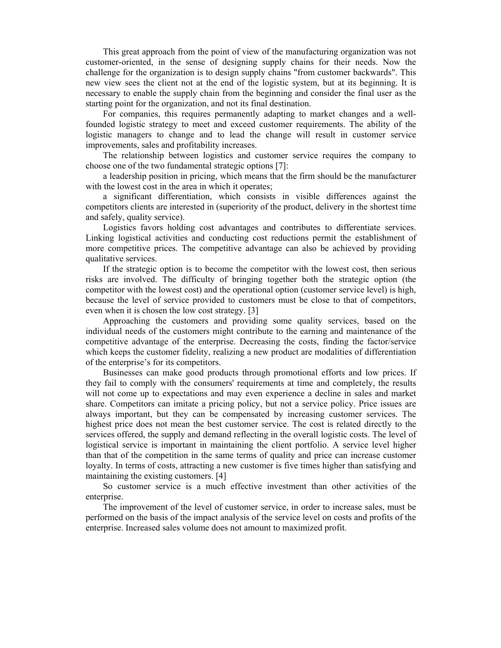This great approach from the point of view of the manufacturing organization was not customer-oriented, in the sense of designing supply chains for their needs. Now the challenge for the organization is to design supply chains "from customer backwards". This new view sees the client not at the end of the logistic system, but at its beginning. It is necessary to enable the supply chain from the beginning and consider the final user as the starting point for the organization, and not its final destination.

For companies, this requires permanently adapting to market changes and a wellfounded logistic strategy to meet and exceed customer requirements. The ability of the logistic managers to change and to lead the change will result in customer service improvements, sales and profitability increases.

The relationship between logistics and customer service requires the company to choose one of the two fundamental strategic options [7]:

a leadership position in pricing, which means that the firm should be the manufacturer with the lowest cost in the area in which it operates;

a significant differentiation, which consists in visible differences against the competitors clients are interested in (superiority of the product, delivery in the shortest time and safely, quality service).

Logistics favors holding cost advantages and contributes to differentiate services. Linking logistical activities and conducting cost reductions permit the establishment of more competitive prices. The competitive advantage can also be achieved by providing qualitative services.

If the strategic option is to become the competitor with the lowest cost, then serious risks are involved. The difficulty of bringing together both the strategic option (the competitor with the lowest cost) and the operational option (customer service level) is high, because the level of service provided to customers must be close to that of competitors, even when it is chosen the low cost strategy. [3]

Approaching the customers and providing some quality services, based on the individual needs of the customers might contribute to the earning and maintenance of the competitive advantage of the enterprise. Decreasing the costs, finding the factor/service which keeps the customer fidelity, realizing a new product are modalities of differentiation of the enterprise's for its competitors.

Businesses can make good products through promotional efforts and low prices. If they fail to comply with the consumers' requirements at time and completely, the results will not come up to expectations and may even experience a decline in sales and market share. Competitors can imitate a pricing policy, but not a service policy. Price issues are always important, but they can be compensated by increasing customer services. The highest price does not mean the best customer service. The cost is related directly to the services offered, the supply and demand reflecting in the overall logistic costs. The level of logistical service is important in maintaining the client portfolio. A service level higher than that of the competition in the same terms of quality and price can increase customer loyalty. In terms of costs, attracting a new customer is five times higher than satisfying and maintaining the existing customers. [4]

So customer service is a much effective investment than other activities of the enterprise.

The improvement of the level of customer service, in order to increase sales, must be performed on the basis of the impact analysis of the service level on costs and profits of the enterprise. Increased sales volume does not amount to maximized profit.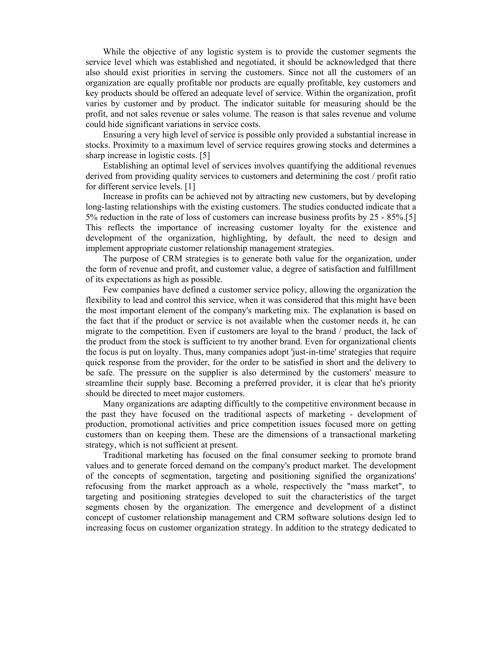While the objective of any logistic system is to provide the customer segments the service level which was established and negotiated, it should be acknowledged that there also should exist priorities in serving the customers. Since not all the customers of an organization are equally profitable nor products are equally profitable, key customers and key products should be offered an adequate level of service. Within the organization, profit varies by customer and by product. The indicator suitable for measuring should be the profit, and not sales revenue or sales volume. The reason is that sales revenue and volume could hide significant variations in service costs.

Ensuring a very high level of service is possible only provided a substantial increase in stocks. Proximity to a maximum level of service requires growing stocks and determines a sharp increase in logistic costs. [5]

Establishing an optimal level of services involves quantifying the additional revenues derived from providing quality services to customers and determining the cost / profit ratio for different service levels. [1]

Increase in profits can be achieved not by attracting new customers, but by developing long-lasting relationships with the existing customers. The studies conducted indicate that a 5% reduction in the rate of loss of customers can increase business profits by 25 - 85%.[5] This reflects the importance of increasing customer loyalty for the existence and development of the organization, highlighting, by default, the need to design and implement appropriate customer relationship management strategies.

The purpose of CRM strategies is to generate both value for the organization, under the form of revenue and profit, and customer value, a degree of satisfaction and fulfillment of its expectations as high as possible.

Few companies have defined a customer service policy, allowing the organization the flexibility to lead and control this service, when it was considered that this might have been the most important element of the company's marketing mix. The explanation is based on the fact that if the product or service is not available when the customer needs it, he can migrate to the competition. Even if customers are loyal to the brand / product, the lack of the product from the stock is sufficient to try another brand. Even for organizational clients the focus is put on loyalty. Thus, many companies adopt 'just-in-time' strategies that require quick response from the provider, for the order to be satisfied in short and the delivery to be safe. The pressure on the supplier is also determined by the customers' measure to streamline their supply base. Becoming a preferred provider, it is clear that he's priority should be directed to meet major customers.

Many organizations are adapting difficultly to the competitive environment because in the past they have focused on the traditional aspects of marketing - development of production, promotional activities and price competition issues focused more on getting customers than on keeping them. These are the dimensions of a transactional marketing strategy, which is not sufficient at present.

Traditional marketing has focused on the final consumer seeking to promote brand values and to generate forced demand on the company's product market. The development of the concepts of segmentation, targeting and positioning signified the organizations' refocusing from the market approach as a whole, respectively the "mass market", to targeting and positioning strategies developed to suit the characteristics of the target segments chosen by the organization. The emergence and development of a distinct concept of customer relationship management and CRM software solutions design led to increasing focus on customer organization strategy. In addition to the strategy dedicated to